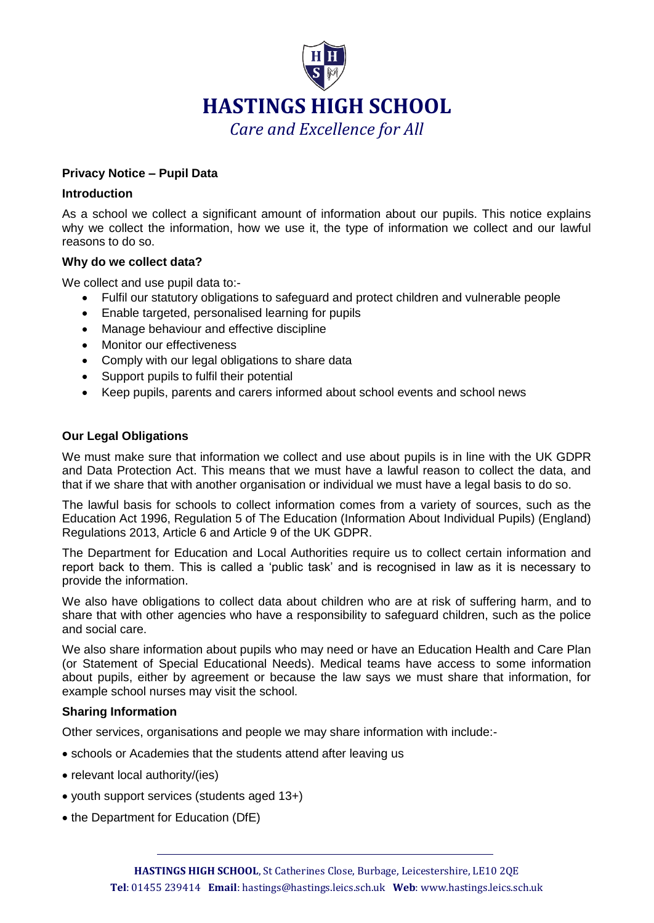

## **Privacy Notice – Pupil Data**

#### **Introduction**

As a school we collect a significant amount of information about our pupils. This notice explains why we collect the information, how we use it, the type of information we collect and our lawful reasons to do so.

#### **Why do we collect data?**

We collect and use pupil data to:-

- Fulfil our statutory obligations to safeguard and protect children and vulnerable people
- Enable targeted, personalised learning for pupils
- Manage behaviour and effective discipline
- Monitor our effectiveness
- Comply with our legal obligations to share data
- Support pupils to fulfil their potential
- Keep pupils, parents and carers informed about school events and school news

## **Our Legal Obligations**

We must make sure that information we collect and use about pupils is in line with the UK GDPR and Data Protection Act. This means that we must have a lawful reason to collect the data, and that if we share that with another organisation or individual we must have a legal basis to do so.

The lawful basis for schools to collect information comes from a variety of sources, such as the Education Act 1996, Regulation 5 of The Education (Information About Individual Pupils) (England) Regulations 2013, Article 6 and Article 9 of the UK GDPR.

The Department for Education and Local Authorities require us to collect certain information and report back to them. This is called a 'public task' and is recognised in law as it is necessary to provide the information.

We also have obligations to collect data about children who are at risk of suffering harm, and to share that with other agencies who have a responsibility to safeguard children, such as the police and social care.

We also share information about pupils who may need or have an Education Health and Care Plan (or Statement of Special Educational Needs). Medical teams have access to some information about pupils, either by agreement or because the law says we must share that information, for example school nurses may visit the school.

## **Sharing Information**

Other services, organisations and people we may share information with include:-

- schools or Academies that the students attend after leaving us
- relevant local authority/(ies)
- youth support services (students aged 13+)
- the Department for Education (DfE)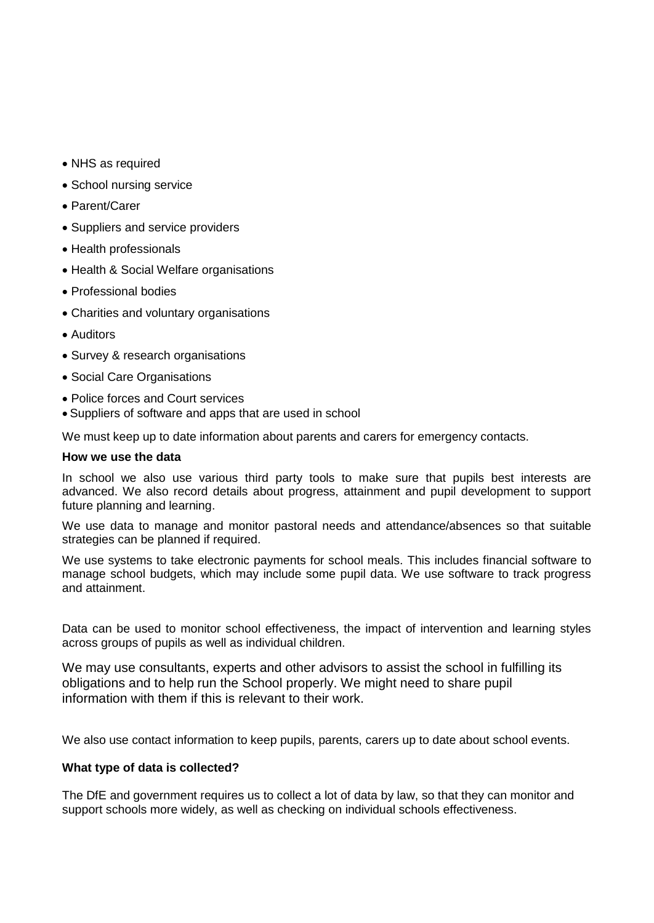- NHS as required
- School nursing service
- Parent/Carer
- Suppliers and service providers
- Health professionals
- Health & Social Welfare organisations
- Professional bodies
- Charities and voluntary organisations
- Auditors
- Survey & research organisations
- Social Care Organisations
- Police forces and Court services
- Suppliers of software and apps that are used in school

We must keep up to date information about parents and carers for emergency contacts.

#### **How we use the data**

In school we also use various third party tools to make sure that pupils best interests are advanced. We also record details about progress, attainment and pupil development to support future planning and learning.

We use data to manage and monitor pastoral needs and attendance/absences so that suitable strategies can be planned if required.

We use systems to take electronic payments for school meals. This includes financial software to manage school budgets, which may include some pupil data. We use software to track progress and attainment.

Data can be used to monitor school effectiveness, the impact of intervention and learning styles across groups of pupils as well as individual children.

We may use consultants, experts and other advisors to assist the school in fulfilling its obligations and to help run the School properly. We might need to share pupil information with them if this is relevant to their work.

We also use contact information to keep pupils, parents, carers up to date about school events.

## **What type of data is collected?**

The DfE and government requires us to collect a lot of data by law, so that they can monitor and support schools more widely, as well as checking on individual schools effectiveness.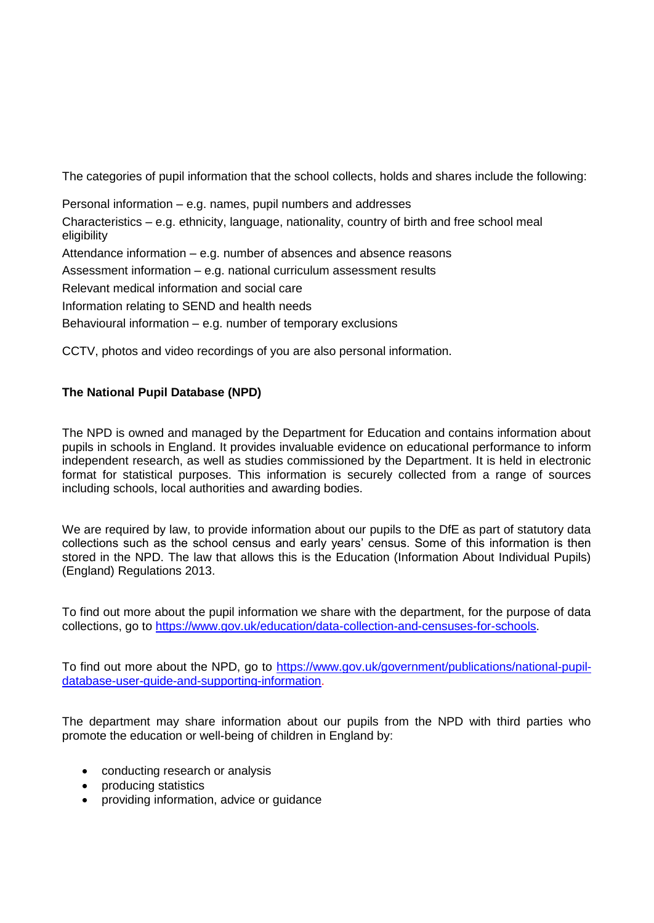The categories of pupil information that the school collects, holds and shares include the following:

Personal information – e.g. names, pupil numbers and addresses Characteristics – e.g. ethnicity, language, nationality, country of birth and free school meal eligibility Attendance information – e.g. number of absences and absence reasons Assessment information – e.g. national curriculum assessment results Relevant medical information and social care Information relating to SEND and health needs Behavioural information – e.g. number of temporary exclusions

CCTV, photos and video recordings of you are also personal information.

# **The National Pupil Database (NPD)**

The NPD is owned and managed by the Department for Education and contains information about pupils in schools in England. It provides invaluable evidence on educational performance to inform independent research, as well as studies commissioned by the Department. It is held in electronic format for statistical purposes. This information is securely collected from a range of sources including schools, local authorities and awarding bodies.

We are required by law, to provide information about our pupils to the DfE as part of statutory data collections such as the school census and early years' census. Some of this information is then stored in the NPD. The law that allows this is the Education (Information About Individual Pupils) (England) Regulations 2013.

To find out more about the pupil information we share with the department, for the purpose of data collections, go to [https://www.gov.uk/education/data-collection-and-censuses-for-schools.](https://www.gov.uk/education/data-collection-and-censuses-for-schools)

To find out more about the NPD, go to [https://www.gov.uk/government/publications/national-pupil](https://www.gov.uk/government/publications/national-pupil-database-user-guide-and-supporting-information)[database-user-guide-and-supporting-information.](https://www.gov.uk/government/publications/national-pupil-database-user-guide-and-supporting-information)

The department may share information about our pupils from the NPD with third parties who promote the education or well-being of children in England by:

- conducting research or analysis
- producing statistics
- providing information, advice or guidance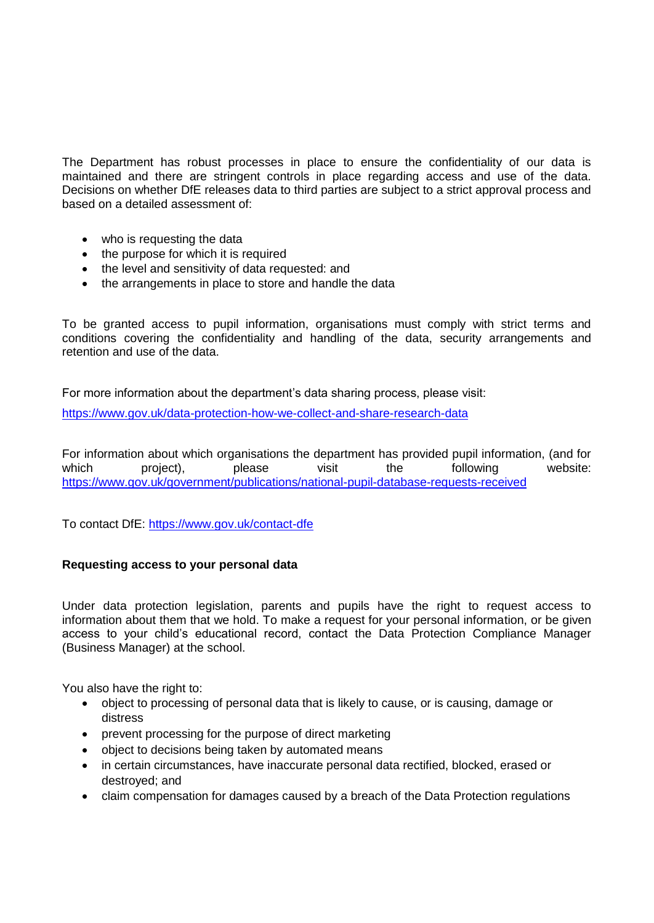The Department has robust processes in place to ensure the confidentiality of our data is maintained and there are stringent controls in place regarding access and use of the data. Decisions on whether DfE releases data to third parties are subject to a strict approval process and based on a detailed assessment of:

- who is requesting the data
- the purpose for which it is required
- the level and sensitivity of data requested: and
- the arrangements in place to store and handle the data

To be granted access to pupil information, organisations must comply with strict terms and conditions covering the confidentiality and handling of the data, security arrangements and retention and use of the data.

For more information about the department's data sharing process, please visit:

<https://www.gov.uk/data-protection-how-we-collect-and-share-research-data>

For information about which organisations the department has provided pupil information, (and for which project), please visit the following website: <https://www.gov.uk/government/publications/national-pupil-database-requests-received>

To contact DfE:<https://www.gov.uk/contact-dfe>

## **Requesting access to your personal data**

Under data protection legislation, parents and pupils have the right to request access to information about them that we hold. To make a request for your personal information, or be given access to your child's educational record, contact the Data Protection Compliance Manager (Business Manager) at the school.

You also have the right to:

- object to processing of personal data that is likely to cause, or is causing, damage or distress
- prevent processing for the purpose of direct marketing
- object to decisions being taken by automated means
- in certain circumstances, have inaccurate personal data rectified, blocked, erased or destroyed; and
- claim compensation for damages caused by a breach of the Data Protection regulations